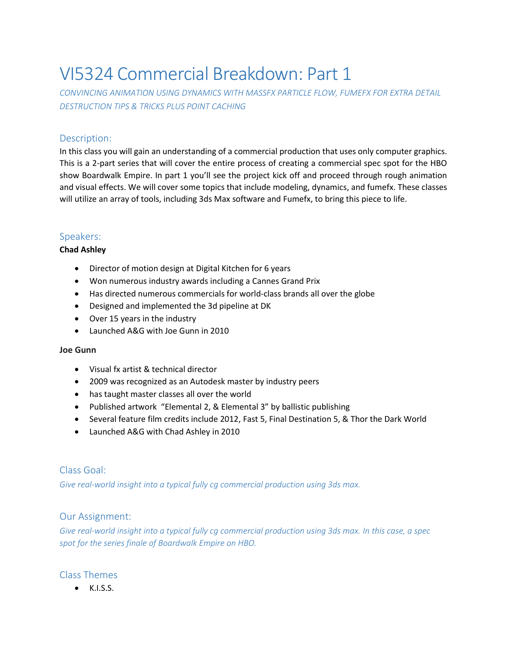# VI5324 Commercial Breakdown: Part 1

*CONVINCING ANIMATION USING DYNAMICS WITH MASSFX PARTICLE FLOW, FUMEFX FOR EXTRA DETAIL DESTRUCTION TIPS & TRICKS PLUS POINT CACHING*

# Description:

In this class you will gain an understanding of a commercial production that uses only computer graphics. This is a 2-part series that will cover the entire process of creating a commercial spec spot for the HBO show Boardwalk Empire. In part 1 you'll see the project kick off and proceed through rough animation and visual effects. We will cover some topics that include modeling, dynamics, and fumefx. These classes will utilize an array of tools, including 3ds Max software and Fumefx, to bring this piece to life.

# Speakers:

## **Chad Ashley**

- Director of motion design at Digital Kitchen for 6 years
- Won numerous industry awards including a Cannes Grand Prix
- Has directed numerous commercials for world-class brands all over the globe
- Designed and implemented the 3d pipeline at DK
- Over 15 years in the industry
- Launched A&G with Joe Gunn in 2010

#### **Joe Gunn**

- Visual fx artist & technical director
- 2009 was recognized as an Autodesk master by industry peers
- has taught master classes all over the world
- Published artwork "Elemental 2, & Elemental 3" by ballistic publishing
- Several feature film credits include 2012, Fast 5, Final Destination 5, & Thor the Dark World
- Launched A&G with Chad Ashley in 2010

# Class Goal:

*Give real-world insight into a typical fully cg commercial production using 3ds max.*

## Our Assignment:

*Give real-world insight into a typical fully cg commercial production using 3ds max. In this case, a spec spot for the series finale of Boardwalk Empire on HBO.*

## Class Themes

 $\bullet$  K.I.S.S.